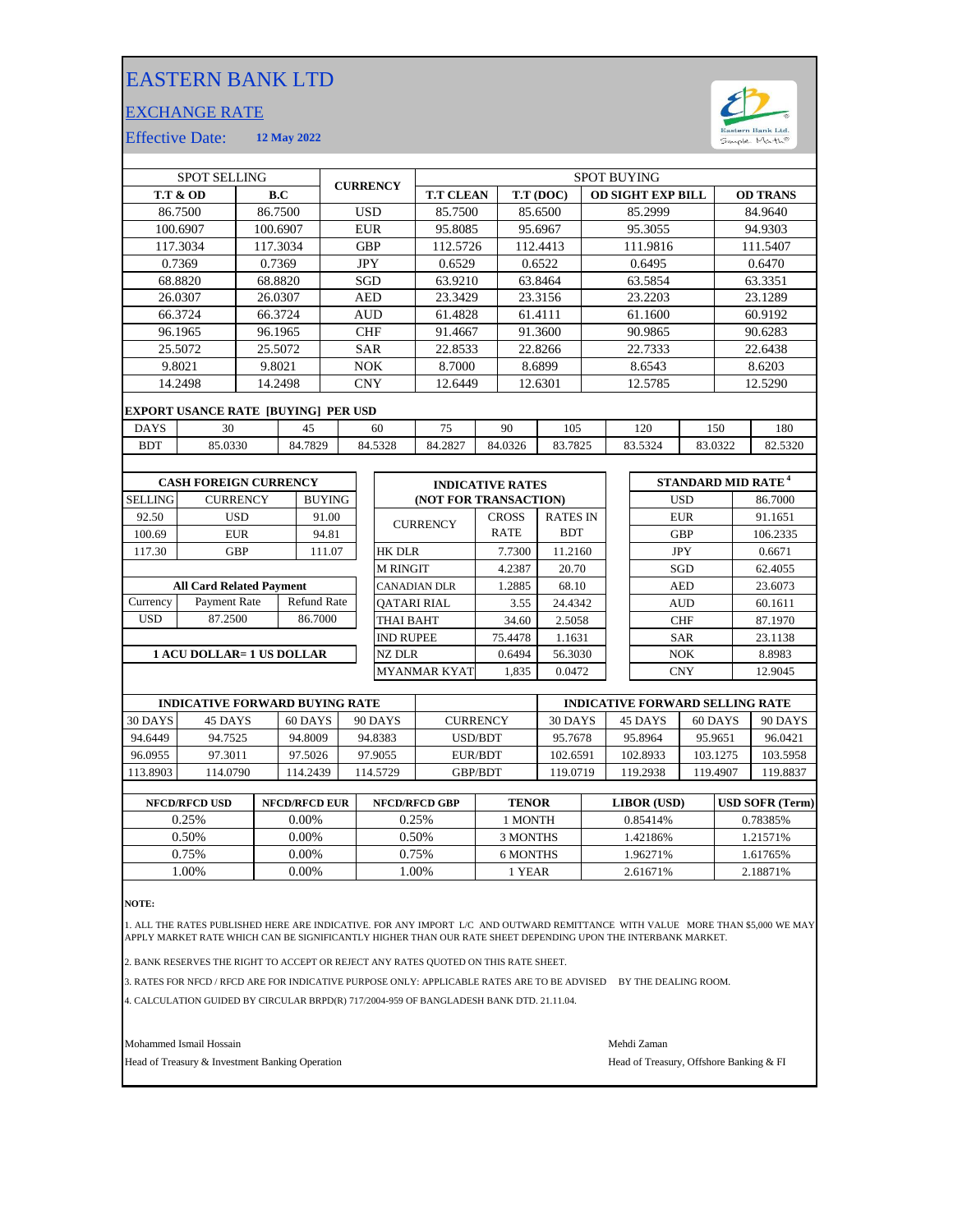## EASTERN BANK LTD

## EXCHANGE RATE



Effective Date: **12 May 2022**

| <b>SPOT SELLING</b>              |                                    |                                                                      |            |                                                                                                            |                                  | <b>SPOT BUYING</b>  |                                                                          |                                        |                                                                         |                                                                                                                   |                                                                                         |                                                                                                                           |  |                    |                                                                                                                                                 |                                          |  |
|----------------------------------|------------------------------------|----------------------------------------------------------------------|------------|------------------------------------------------------------------------------------------------------------|----------------------------------|---------------------|--------------------------------------------------------------------------|----------------------------------------|-------------------------------------------------------------------------|-------------------------------------------------------------------------------------------------------------------|-----------------------------------------------------------------------------------------|---------------------------------------------------------------------------------------------------------------------------|--|--------------------|-------------------------------------------------------------------------------------------------------------------------------------------------|------------------------------------------|--|
| <b>T.T &amp; OD</b><br>B.C       |                                    |                                                                      |            |                                                                                                            |                                  |                     |                                                                          | T.T (DOC)                              |                                                                         |                                                                                                                   | <b>OD SIGHT EXP BILL</b>                                                                |                                                                                                                           |  |                    | <b>OD TRANS</b>                                                                                                                                 |                                          |  |
| 86.7500                          |                                    |                                                                      | <b>USD</b> |                                                                                                            |                                  | 85.7500             |                                                                          |                                        |                                                                         |                                                                                                                   | 85.2999                                                                                 |                                                                                                                           |  |                    | 84.9640                                                                                                                                         |                                          |  |
| 100.6907<br>100.6907             |                                    |                                                                      | <b>EUR</b> |                                                                                                            |                                  |                     |                                                                          |                                        |                                                                         |                                                                                                                   | 95.3055                                                                                 |                                                                                                                           |  |                    | 94.9303                                                                                                                                         |                                          |  |
| 117.3034                         |                                    |                                                                      |            | <b>GBP</b>                                                                                                 |                                  |                     | 112.5726                                                                 |                                        |                                                                         |                                                                                                                   |                                                                                         | 111.9816                                                                                                                  |  |                    |                                                                                                                                                 | 111.5407                                 |  |
| 0.7369                           |                                    |                                                                      |            | <b>JPY</b>                                                                                                 |                                  |                     | 0.6529                                                                   |                                        |                                                                         |                                                                                                                   |                                                                                         | 0.6495                                                                                                                    |  |                    |                                                                                                                                                 | 0.6470                                   |  |
| 68.8820                          |                                    |                                                                      | SGD        |                                                                                                            |                                  | 63.9210             |                                                                          | 63.8464                                |                                                                         |                                                                                                                   | 63.5854                                                                                 |                                                                                                                           |  | 63.3351            |                                                                                                                                                 |                                          |  |
| 26.0307                          |                                    |                                                                      | <b>AED</b> |                                                                                                            |                                  | 23.3429             |                                                                          | 23.3156                                |                                                                         |                                                                                                                   | 23.2203                                                                                 |                                                                                                                           |  | 23.1289            |                                                                                                                                                 |                                          |  |
| 66.3724                          |                                    |                                                                      | <b>AUD</b> |                                                                                                            |                                  |                     |                                                                          |                                        |                                                                         | 61.1600                                                                                                           |                                                                                         |                                                                                                                           |  | 60.9192            |                                                                                                                                                 |                                          |  |
| 96.1965                          |                                    |                                                                      |            | <b>CHF</b>                                                                                                 |                                  |                     |                                                                          |                                        |                                                                         |                                                                                                                   |                                                                                         |                                                                                                                           |  |                    |                                                                                                                                                 | 90.6283                                  |  |
| 25.5072                          |                                    |                                                                      |            | <b>SAR</b>                                                                                                 |                                  |                     |                                                                          |                                        | 22.8266                                                                 |                                                                                                                   | 22.7333                                                                                 |                                                                                                                           |  | 22.6438            |                                                                                                                                                 |                                          |  |
| 9.8021                           | 9.8021                             |                                                                      |            | <b>NOK</b>                                                                                                 |                                  |                     | 8.7000                                                                   |                                        | 8.6899                                                                  |                                                                                                                   | 8.6543                                                                                  |                                                                                                                           |  | 8.6203             |                                                                                                                                                 |                                          |  |
| 14.2498                          |                                    |                                                                      | <b>CNY</b> |                                                                                                            |                                  |                     | 12.6301                                                                  |                                        | 12.5785                                                                 |                                                                                                                   |                                                                                         | 12.5290                                                                                                                   |  |                    |                                                                                                                                                 |                                          |  |
|                                  |                                    |                                                                      |            |                                                                                                            |                                  |                     |                                                                          |                                        |                                                                         |                                                                                                                   |                                                                                         |                                                                                                                           |  |                    |                                                                                                                                                 |                                          |  |
| 30<br><b>DAYS</b><br>45          |                                    |                                                                      |            |                                                                                                            |                                  | 60<br>75            |                                                                          |                                        |                                                                         | 105                                                                                                               |                                                                                         | 120                                                                                                                       |  |                    |                                                                                                                                                 | 180                                      |  |
| 85.0330                          |                                    |                                                                      |            |                                                                                                            |                                  | 84.2827             |                                                                          |                                        |                                                                         |                                                                                                                   |                                                                                         |                                                                                                                           |  |                    |                                                                                                                                                 | 82.5320                                  |  |
|                                  |                                    |                                                                      |            |                                                                                                            |                                  |                     |                                                                          |                                        |                                                                         |                                                                                                                   |                                                                                         |                                                                                                                           |  |                    |                                                                                                                                                 |                                          |  |
| <b>CASH FOREIGN CURRENCY</b>     |                                    |                                                                      |            |                                                                                                            |                                  |                     | <b>INDICATIVE RATES</b>                                                  |                                        |                                                                         |                                                                                                                   |                                                                                         |                                                                                                                           |  |                    |                                                                                                                                                 |                                          |  |
|                                  |                                    |                                                                      |            |                                                                                                            |                                  |                     |                                                                          |                                        |                                                                         |                                                                                                                   |                                                                                         |                                                                                                                           |  |                    |                                                                                                                                                 | 86.7000                                  |  |
|                                  |                                    |                                                                      |            |                                                                                                            |                                  |                     |                                                                          |                                        |                                                                         |                                                                                                                   |                                                                                         |                                                                                                                           |  |                    |                                                                                                                                                 | 91.1651                                  |  |
|                                  | 94.81                              |                                                                      |            |                                                                                                            |                                  |                     |                                                                          |                                        |                                                                         |                                                                                                                   |                                                                                         |                                                                                                                           |  |                    | 106.2335                                                                                                                                        |                                          |  |
|                                  |                                    |                                                                      |            |                                                                                                            |                                  | <b>HK DLR</b>       |                                                                          |                                        |                                                                         |                                                                                                                   |                                                                                         |                                                                                                                           |  |                    |                                                                                                                                                 | 0.6671                                   |  |
|                                  |                                    |                                                                      |            |                                                                                                            |                                  | <b>M RINGIT</b>     |                                                                          |                                        |                                                                         |                                                                                                                   |                                                                                         |                                                                                                                           |  |                    |                                                                                                                                                 | 62.4055                                  |  |
| <b>All Card Related Payment</b>  |                                    |                                                                      |            |                                                                                                            |                                  | <b>CANADIAN DLR</b> |                                                                          |                                        |                                                                         |                                                                                                                   |                                                                                         |                                                                                                                           |  |                    |                                                                                                                                                 | 23.6073                                  |  |
|                                  | <b>Refund Rate</b><br>Payment Rate |                                                                      |            |                                                                                                            |                                  | <b>OATARI RIAL</b>  |                                                                          |                                        | 3.55                                                                    |                                                                                                                   |                                                                                         |                                                                                                                           |  |                    |                                                                                                                                                 | 60.1611                                  |  |
|                                  | 86.7000                            |                                                                      |            |                                                                                                            | <b>THAI BAHT</b>                 |                     |                                                                          |                                        |                                                                         |                                                                                                                   |                                                                                         |                                                                                                                           |  |                    | 87.1970                                                                                                                                         |                                          |  |
|                                  |                                    |                                                                      |            |                                                                                                            |                                  | <b>IND RUPEE</b>    |                                                                          |                                        |                                                                         |                                                                                                                   |                                                                                         |                                                                                                                           |  |                    |                                                                                                                                                 | 23.1138                                  |  |
| <b>1 ACU DOLLAR= 1 US DOLLAR</b> |                                    |                                                                      |            |                                                                                                            |                                  | <b>NZ DLR</b>       |                                                                          |                                        |                                                                         |                                                                                                                   |                                                                                         |                                                                                                                           |  |                    |                                                                                                                                                 | 8.8983                                   |  |
|                                  |                                    |                                                                      |            |                                                                                                            |                                  |                     |                                                                          |                                        |                                                                         |                                                                                                                   |                                                                                         |                                                                                                                           |  |                    |                                                                                                                                                 | 12.9045                                  |  |
|                                  |                                    | <b>CURRENCY</b><br><b>USD</b><br><b>EUR</b><br><b>GBP</b><br>87.2500 |            | 86.7500<br>117.3034<br>0.7369<br>68.8820<br>26.0307<br>66.3724<br>96.1965<br>25.5072<br>14.2498<br>84.7829 | <b>BUYING</b><br>91.00<br>111.07 |                     | <b>CURRENCY</b><br><b>EXPORT USANCE RATE [BUYING] PER USD</b><br>84.5328 | <b>CURRENCY</b><br><b>MYANMAR KYAT</b> | <b>T.T CLEAN</b><br>95.8085<br>61.4828<br>91.4667<br>22.8533<br>12.6449 | 90<br>84.0326<br><b>CROSS</b><br><b>RATE</b><br>7.7300<br>4.2387<br>1.2885<br>34.60<br>75.4478<br>0.6494<br>1,835 | 85.6500<br>95.6967<br>112.4413<br>0.6522<br>61.4111<br>91.3600<br>(NOT FOR TRANSACTION) | 83.7825<br><b>RATES IN</b><br><b>BDT</b><br>11.2160<br>20.70<br>68.10<br>24.4342<br>2.5058<br>1.1631<br>56.3030<br>0.0472 |  | 90.9865<br>83.5324 | <b>USD</b><br><b>EUR</b><br><b>GBP</b><br><b>JPY</b><br>SGD<br><b>AED</b><br><b>AUD</b><br><b>CHF</b><br><b>SAR</b><br><b>NOK</b><br><b>CNY</b> | 150<br>83.0322<br>STANDARD MID RATE $^4$ |  |

|          | <b>INDICATIVE FORWARD BUYING RATE</b> |          |          |                 | <b>INDICATIVE FORWARD SELLING RATE</b> |          |          |          |  |
|----------|---------------------------------------|----------|----------|-----------------|----------------------------------------|----------|----------|----------|--|
| 30 DAYS  | 45 DAYS                               | 60 DAYS  | 90 DAYS  | <b>CURRENCY</b> | 30 DAYS                                | 45 DAYS  | 60 DAYS  | 90 DAYS  |  |
| 94.6449  | 94.7525                               | 94.8009  | 94.8383  | USD/BDT         | 95.7678                                | 95.8964  | 95.9651  | 96.0421  |  |
| 96.0955  | 97.3011                               | 97.5026  | 97.9055  | EUR/BDT         | 102.6591                               | 102.8933 | 103.1275 | 103.5958 |  |
| 113.8903 | 114.0790                              | 114.2439 | 114.5729 | <b>GBP/BDT</b>  | 19.0719                                | 119.2938 | 119.4907 | 119.8837 |  |
|          |                                       |          |          |                 |                                        |          |          |          |  |

| <b>NFCD/RFCD USD</b> | <b>NFCD/RFCD EUR</b> | <b>NFCD/RFCD GBP</b> | <b>TENOR</b> | LIBOR (USD) | <b>USD SOFR (Term)</b> |
|----------------------|----------------------|----------------------|--------------|-------------|------------------------|
| 0.25%                | $0.00\%$             | 0.25%                | 1 MONTH      | 0.85414\%   | 0.78385%               |
| 0.50%                | $0.00\%$             | 0.50%                | 3 MONTHS     | 1.42186%    | 1.21571%               |
| 0.75%                | 0.00%                | 0.75%                | 6 MONTHS     | .96271%     | 1.61765%               |
| .00%                 | 0.00%                | .00%                 | 1 YEAR       | 2.61671%    | 2.18871%               |
|                      |                      |                      |              |             |                        |

**NOTE:**

1. ALL THE RATES PUBLISHED HERE ARE INDICATIVE. FOR ANY IMPORT L/C AND OUTWARD REMITTANCE WITH VALUE MORE THAN \$5,000 WE MAY<br>APPLY MARKET RATE WHICH CAN BE SIGNIFICANTLY HIGHER THAN OUR RATE SHEET DEPENDING UPON THE IN

2. BANK RESERVES THE RIGHT TO ACCEPT OR REJECT ANY RATES QUOTED ON THIS RATE SHEET.

3. RATES FOR NFCD / RFCD ARE FOR INDICATIVE PURPOSE ONLY: APPLICABLE RATES ARE TO BE ADVISED BY THE DEALING ROOM.

4. CALCULATION GUIDED BY CIRCULAR BRPD(R) 717/2004-959 OF BANGLADESH BANK DTD. 21.11.04.

Mohammed Ismail Hossain Mehdi Zaman

Head of Treasury & Investment Banking Operation **Head of Treasury, Offshore Banking & FI**